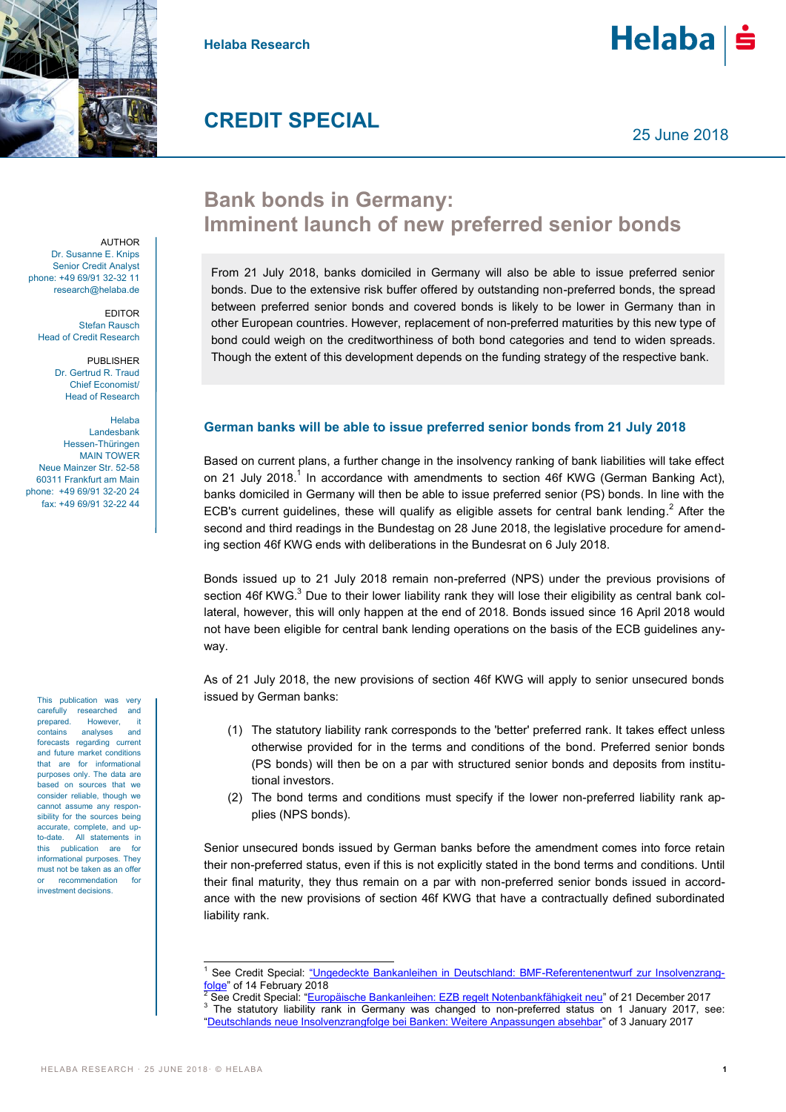

**Helaba Research**



## **CREDIT SPECIAL**

# **Bank bonds in Germany: Imminent launch of new preferred senior bonds**

From 21 July 2018, banks domiciled in Germany will also be able to issue preferred senior bonds. Due to the extensive risk buffer offered by outstanding non-preferred bonds, the spread between preferred senior bonds and covered bonds is likely to be lower in Germany than in other European countries. However, replacement of non-preferred maturities by this new type of bond could weigh on the creditworthiness of both bond categories and tend to widen spreads. Though the extent of this development depends on the funding strategy of the respective bank.

### **German banks will be able to issue preferred senior bonds from 21 July 2018**

Based on current plans, a further change in the insolvency ranking of bank liabilities will take effect on 21 July 2018.<sup>1</sup> In accordance with amendments to section 46f KWG (German Banking Act), banks domiciled in Germany will then be able to issue preferred senior (PS) bonds. In line with the ECB's current guidelines, these will qualify as eligible assets for central bank lending.<sup>2</sup> After the second and third readings in the Bundestag on 28 June 2018, the legislative procedure for amending section 46f KWG ends with deliberations in the Bundesrat on 6 July 2018.

Bonds issued up to 21 July 2018 remain non-preferred (NPS) under the previous provisions of section 46f KWG. $^3$  Due to their lower liability rank they will lose their eligibility as central bank collateral, however, this will only happen at the end of 2018. Bonds issued since 16 April 2018 would not have been eligible for central bank lending operations on the basis of the ECB guidelines anyway.

As of 21 July 2018, the new provisions of section 46f KWG will apply to senior unsecured bonds issued by German banks:

- (1) The statutory liability rank corresponds to the 'better' preferred rank. It takes effect unless otherwise provided for in the terms and conditions of the bond. Preferred senior bonds (PS bonds) will then be on a par with structured senior bonds and deposits from institutional investors.
- (2) The bond terms and conditions must specify if the lower non-preferred liability rank applies (NPS bonds).

Senior unsecured bonds issued by German banks before the amendment comes into force retain their non-preferred status, even if this is not explicitly stated in the bond terms and conditions. Until their final maturity, they thus remain on a par with non-preferred senior bonds issued in accordance with the new provisions of section 46f KWG that have a contractually defined subordinated liability rank.

**AUTHOR** Dr. Susanne E. Knips Senior Credit Analyst phone: +49 69/91 32-32 11 research@helaba.de

EDITOR Stefan Rausch Head of Credit Research

> PUBLISHER Dr. Gertrud R. Traud Chief Economist/ Head of Research

Helaba Landesbank Hessen-Thüringen MAIN TOWER Neue Mainzer Str. 52-58 60311 Frankfurt am Main phone: +49 69/91 32-20 24 fax: +49 69/91 32-22 44

> This publication was very carefully researched and prepared. However, it contains analyses and forecasts regarding current and future market conditions that are for informational purposes only. The data are based on sources that we consider reliable, though we cannot assume any responsibility for the sources being accurate, complete, and upto-date. All statements in this publication are for informational purposes. They must not be taken as an offer recommendation for investment decisions.

 $\overline{a}$ 

<sup>1</sup> See Credit Special: "[Ungedeckte Bankanleihen in Deutschland: BMF-Referentenentwurf zur Insolvenzrang](https://www.helaba.de/blob/helaba/454864/b457c3723eaf7ee00f03b599ed08a726/cs-20180214-data.pdf)<u>[folge](https://www.helaba.de/blob/helaba/454864/b457c3723eaf7ee00f03b599ed08a726/cs-20180214-data.pdf)</u>" of 14 February 2018<br><sup>2</sup> See Credit Special: "<u>[Europäische Bankanleihen: EZB regelt Notenbankfähigkeit neu](https://www.helaba.de/blob/helaba/448916/20a8d290bda3091c6c04ae34d888d930/cs-20171221-data.pdf)</u>" of 21 December 2017

<sup>3</sup> The statutory liability rank in Germany was changed to non-preferred status on 1 January 2017, see: "[Deutschlands neue Insolvenzrangfolge bei Banken: Weitere Anpassungen absehbar](https://www.helaba.de/blob/helaba/414024/69581c6c2eccdd98c4e88086b47433fe/ausser-der-reihe-20170103-data.pdf)" of 3 January 2017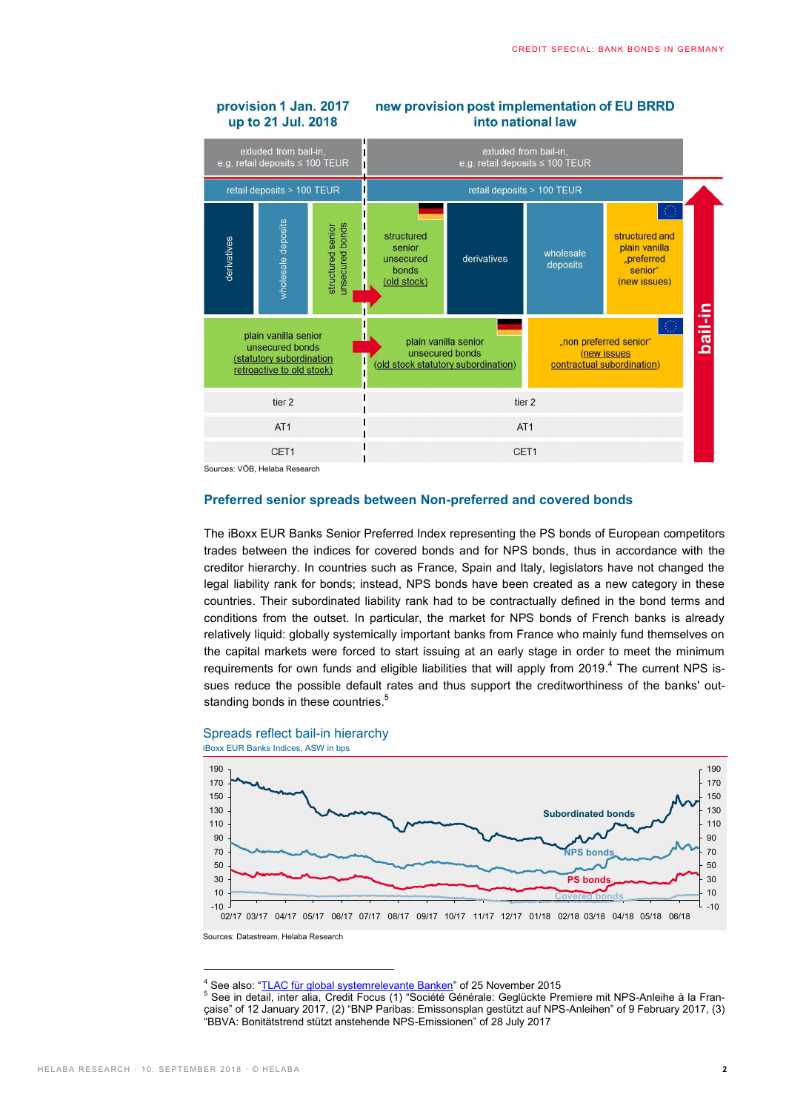| exluded from bail-in,<br>e.g. retail deposits $\leq 100$ TEUR                                    |                    |                                      | exluded from bail-in,<br>e.g. retail deposits $\leq 100$ TEUR                  |             |                                                                                                         |                                                                                               |         |
|--------------------------------------------------------------------------------------------------|--------------------|--------------------------------------|--------------------------------------------------------------------------------|-------------|---------------------------------------------------------------------------------------------------------|-----------------------------------------------------------------------------------------------|---------|
| retail deposits > 100 TEUR                                                                       |                    |                                      | retail deposits > 100 TEUR                                                     |             |                                                                                                         |                                                                                               |         |
| derivatives                                                                                      | wholesale deposits | unsecured bonds<br>structured senior | structured<br>senior<br>unsecured<br>bonds<br>(old stock)                      | derivatives | wholesale<br>deposits                                                                                   | $\langle \rangle$<br>structured and<br>plain vanilla<br>"preferred<br>senior"<br>(new issues) |         |
| plain vanilla senior<br>unsecured bonds<br>(statutory subordination<br>retroactive to old stock) |                    |                                      | plain vanilla senior<br>unsecured bonds<br>(old stock statutory subordination) |             | $\mathcal{N}_{\text{max}}^{(n)}$<br>"non preferred senior"<br>(new issues<br>contractual subordination) |                                                                                               | bail-in |
| tier 2                                                                                           |                    |                                      | tier <sub>2</sub>                                                              |             |                                                                                                         |                                                                                               |         |
| AT <sub>1</sub>                                                                                  |                    |                                      | AT <sub>1</sub>                                                                |             |                                                                                                         |                                                                                               |         |
| CET1                                                                                             |                    |                                      | CET1                                                                           |             |                                                                                                         |                                                                                               |         |

#### new provision post implementation of EU BRRD provision 1 Jan. 2017 up to 21 Jul. 2018 into national law

Sources: VÖB, Helaba Research

### **Preferred senior spreads between Non-preferred and covered bonds**

The iBoxx EUR Banks Senior Preferred Index representing the PS bonds of European competitors trades between the indices for covered bonds and for NPS bonds, thus in accordance with the creditor hierarchy. In countries such as France, Spain and Italy, legislators have not changed the legal liability rank for bonds; instead, NPS bonds have been created as a new category in these countries. Their subordinated liability rank had to be contractually defined in the bond terms and conditions from the outset. In particular, the market for NPS bonds of French banks is already relatively liquid: globally systemically important banks from France who mainly fund themselves on the capital markets were forced to start issuing at an early stage in order to meet the minimum requirements for own funds and eligible liabilities that will apply from 2019.<sup>4</sup> The current NPS issues reduce the possible default rates and thus support the creditworthiness of the banks' outstanding bonds in these countries.<sup>5</sup>

#### Spreads reflect bail-in hierarchy



<sup>&</sup>lt;sup>4</sup> See also: "[TLAC für global systemrelevante Banken](https://www.helaba.de/blob/helaba/die-helaba/maerkte-und-analysen/volkswirtschaft-und-research/ausser-der-reihe/archiv/365924/ef8b26197f258479eab3d2fd0a36438e/ausser-der-reihe-20151125-data.pdf)" of 25 November 2015

 $\overline{a}$ 

<sup>5</sup> See in detail, inter alia, Credit Focus (1) "Société Générale: Geglückte Premiere mit NPS-Anleihe à la Française" of 12 January 2017, (2) "BNP Paribas: Emissonsplan gestützt auf NPS-Anleihen" of 9 February 2017, (3) "BBVA: Bonitätstrend stützt anstehende NPS-Emissionen" of 28 July 2017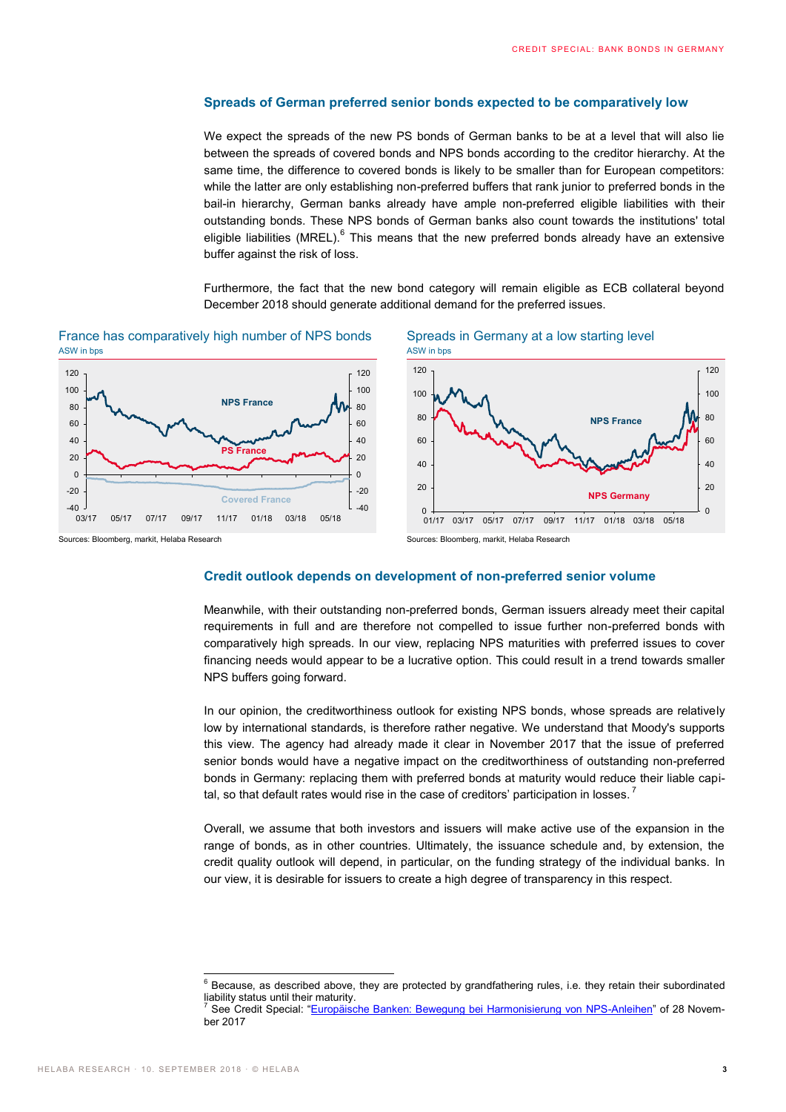#### **Spreads of German preferred senior bonds expected to be comparatively low**

We expect the spreads of the new PS bonds of German banks to be at a level that will also lie between the spreads of covered bonds and NPS bonds according to the creditor hierarchy. At the same time, the difference to covered bonds is likely to be smaller than for European competitors: while the latter are only establishing non-preferred buffers that rank junior to preferred bonds in the bail-in hierarchy, German banks already have ample non-preferred eligible liabilities with their outstanding bonds. These NPS bonds of German banks also count towards the institutions' total eligible liabilities (MREL).<sup>6</sup> This means that the new preferred bonds already have an extensive buffer against the risk of loss.

Furthermore, the fact that the new bond category will remain eligible as ECB collateral beyond December 2018 should generate additional demand for the preferred issues.

France has comparatively high number of NPS bonds Spreads in Germany at a low starting level ASW in bps ASW in bps ASW in bps ASW in bps ASW in bps ASW in bps ASW in bps ASW in bps ASW in bps  $\sim$ 





#### **Credit outlook depends on development of non-preferred senior volume**

Meanwhile, with their outstanding non-preferred bonds, German issuers already meet their capital requirements in full and are therefore not compelled to issue further non-preferred bonds with comparatively high spreads. In our view, replacing NPS maturities with preferred issues to cover financing needs would appear to be a lucrative option. This could result in a trend towards smaller NPS buffers going forward.

In our opinion, the creditworthiness outlook for existing NPS bonds, whose spreads are relatively low by international standards, is therefore rather negative. We understand that Moody's supports this view. The agency had already made it clear in November 2017 that the issue of preferred senior bonds would have a negative impact on the creditworthiness of outstanding non-preferred bonds in Germany: replacing them with preferred bonds at maturity would reduce their liable capital, so that default rates would rise in the case of creditors' participation in losses.<sup>7</sup>

Overall, we assume that both investors and issuers will make active use of the expansion in the range of bonds, as in other countries. Ultimately, the issuance schedule and, by extension, the credit quality outlook will depend, in particular, on the funding strategy of the individual banks. In our view, it is desirable for issuers to create a high degree of transparency in this respect.

-

 $6$  Because, as described above, they are protected by grandfathering rules, i.e. they retain their subordinated liability status until their maturity.

<sup>7</sup> See Credit Special: "[Europäische Banken: Bewegung bei Harmonisierung von NPS-Anleihen](https://www.helaba.de/blob/helaba/446460/f6078324f79fde679c7789e5aff0034b/cs-20171128-data.pdf)" of 28 November 2017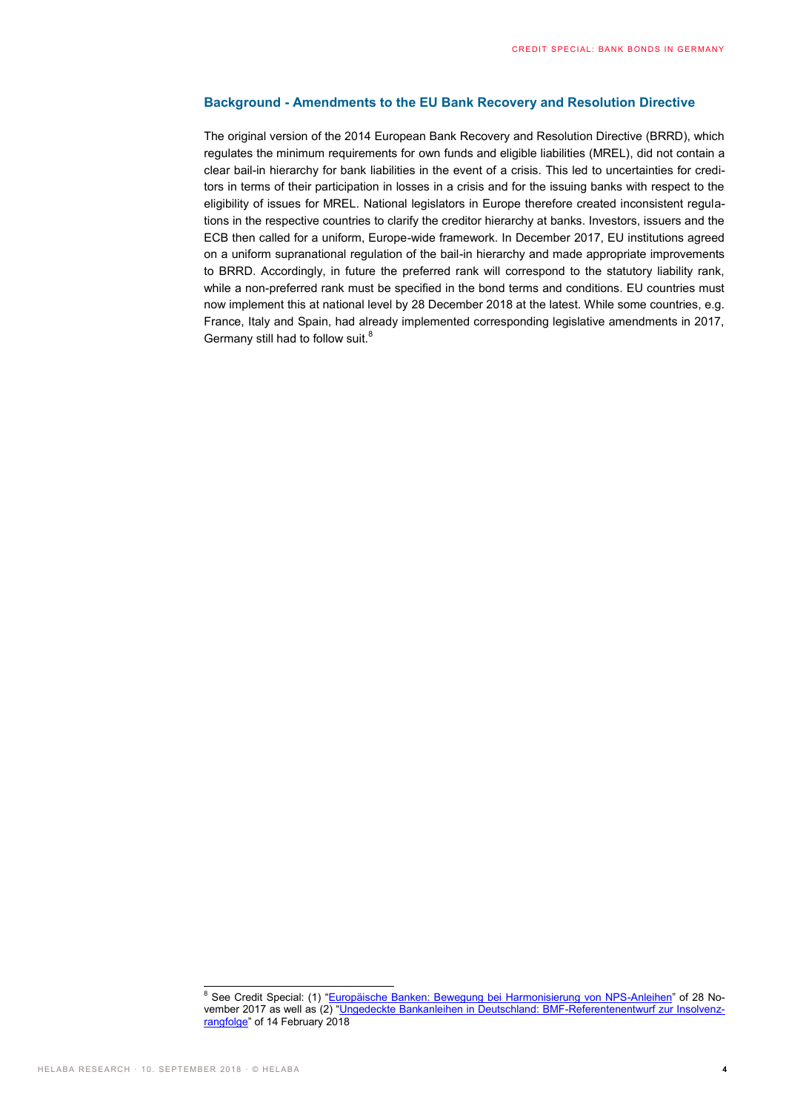## **Background - Amendments to the EU Bank Recovery and Resolution Directive**

The original version of the 2014 European Bank Recovery and Resolution Directive (BRRD), which regulates the minimum requirements for own funds and eligible liabilities (MREL), did not contain a clear bail-in hierarchy for bank liabilities in the event of a crisis. This led to uncertainties for creditors in terms of their participation in losses in a crisis and for the issuing banks with respect to the eligibility of issues for MREL. National legislators in Europe therefore created inconsistent regulations in the respective countries to clarify the creditor hierarchy at banks. Investors, issuers and the ECB then called for a uniform, Europe-wide framework. In December 2017, EU institutions agreed on a uniform supranational regulation of the bail-in hierarchy and made appropriate improvements to BRRD. Accordingly, in future the preferred rank will correspond to the statutory liability rank, while a non-preferred rank must be specified in the bond terms and conditions. EU countries must now implement this at national level by 28 December 2018 at the latest. While some countries, e.g. France, Italy and Spain, had already implemented corresponding legislative amendments in 2017, Germany still had to follow suit. $8$ 

 $\overline{a}$ 

<sup>&</sup>lt;sup>8</sup> See Credit Special: (1) "[Europäische Banken: Bewegung bei Harmonisierung von NPS-Anleihen](https://www.helaba.de/blob/helaba/446460/f6078324f79fde679c7789e5aff0034b/cs-20171128-data.pdf)" of 28 November 2017 as well as (2) "[Ungedeckte Bankanleihen in Deutschland: BMF-Referentenentwurf zur Insolvenz](https://www.helaba.de/blob/helaba/454864/b457c3723eaf7ee00f03b599ed08a726/cs-20180214-data.pdf)[rangfolge](https://www.helaba.de/blob/helaba/454864/b457c3723eaf7ee00f03b599ed08a726/cs-20180214-data.pdf)" of 14 February 2018